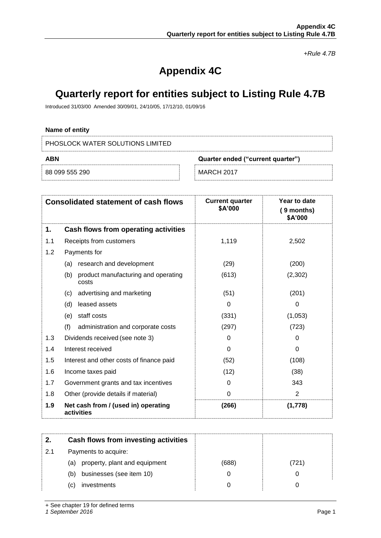*+Rule 4.7B*

# **Appendix 4C**

## **Quarterly report for entities subject to Listing Rule 4.7B**

Introduced 31/03/00 Amended 30/09/01, 24/10/05, 17/12/10, 01/09/16

## **Name of entity**

PHOSLOCK WATER SOLUTIONS LIMITED

| ABN<br>Quarter ended ("current quarter") |                   |
|------------------------------------------|-------------------|
| 88 099 555 290                           | <b>MARCH 2017</b> |

| <b>Consolidated statement of cash flows</b> |                                                     | <b>Current quarter</b><br>\$A'000 | Year to date<br>$(9$ months)<br>\$A'000 |
|---------------------------------------------|-----------------------------------------------------|-----------------------------------|-----------------------------------------|
| 1.                                          | Cash flows from operating activities                |                                   |                                         |
| 1.1                                         | Receipts from customers                             | 1,119                             | 2,502                                   |
| 1.2                                         | Payments for                                        |                                   |                                         |
|                                             | research and development<br>(a)                     | (29)                              | (200)                                   |
|                                             | (b)<br>product manufacturing and operating<br>costs | (613)                             | (2,302)                                 |
|                                             | advertising and marketing<br>(c)                    | (51)                              | (201)                                   |
|                                             | (d)<br>leased assets                                | 0                                 | 0                                       |
|                                             | staff costs<br>(e)                                  | (331)                             | (1,053)                                 |
|                                             | (f)<br>administration and corporate costs           | (297)                             | (723)                                   |
| 1.3                                         | Dividends received (see note 3)                     | 0                                 | 0                                       |
| 1.4                                         | Interest received                                   | $\Omega$                          | 0                                       |
| 1.5                                         | Interest and other costs of finance paid            | (52)                              | (108)                                   |
| 1.6                                         | Income taxes paid                                   | (12)                              | (38)                                    |
| 1.7                                         | Government grants and tax incentives                | 0                                 | 343                                     |
| 1.8                                         | Other (provide details if material)                 | 0                                 | $\overline{2}$                          |
| 1.9                                         | Net cash from / (used in) operating<br>activities   | (266)                             | (1,778)                                 |

|     | Cash flows from investing activities |       |     |
|-----|--------------------------------------|-------|-----|
| 2.1 | Payments to acquire:                 |       |     |
|     | (a) property, plant and equipment    | (688) | 721 |
|     | businesses (see item 10)<br>(b)      |       |     |
|     | investments<br>(C)                   |       |     |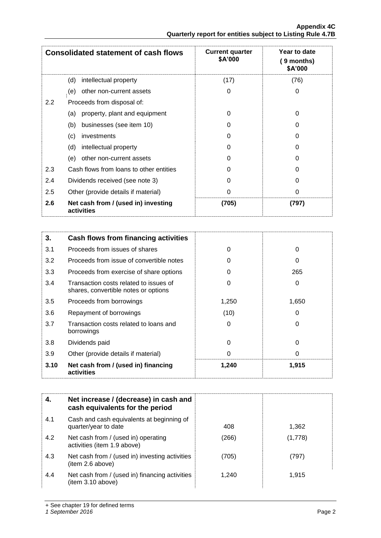|     | <b>Consolidated statement of cash flows</b>       | <b>Current quarter</b><br><b>\$A'000</b> | Year to date<br>9 months)<br>\$A'000 |
|-----|---------------------------------------------------|------------------------------------------|--------------------------------------|
|     | intellectual property<br>(d)                      | (17)                                     | (76)                                 |
|     | other non-current assets<br>(e)                   | 0                                        | 0                                    |
| 2.2 | Proceeds from disposal of:                        |                                          |                                      |
|     | property, plant and equipment<br>(a)              | 0                                        | 0                                    |
|     | businesses (see item 10)<br>(b)                   | 0                                        | O                                    |
|     | (c)<br>investments                                | 0                                        | 0                                    |
|     | (d)<br>intellectual property                      | O                                        | U                                    |
|     | other non-current assets<br>(e)                   | 0                                        | 0                                    |
| 2.3 | Cash flows from loans to other entities           | 0                                        | U                                    |
| 2.4 | Dividends received (see note 3)                   | 0                                        | 0                                    |
| 2.5 | Other (provide details if material)               | 0                                        | 0                                    |
| 2.6 | Net cash from / (used in) investing<br>activities | (705)                                    | (797)                                |

| 3.   | Cash flows from financing activities                                           |       |          |
|------|--------------------------------------------------------------------------------|-------|----------|
| 3.1  | Proceeds from issues of shares                                                 | 0     | 0        |
| 3.2  | Proceeds from issue of convertible notes                                       | 0     | 0        |
| 3.3  | Proceeds from exercise of share options                                        | O     | 265      |
| 3.4  | Transaction costs related to issues of<br>shares, convertible notes or options | 0     | 0        |
| 3.5  | Proceeds from borrowings                                                       | 1,250 | 1,650    |
| 3.6  | Repayment of borrowings                                                        | (10)  | 0        |
| 3.7  | Transaction costs related to loans and<br>borrowings                           | 0     | 0        |
| 3.8  | Dividends paid                                                                 | 0     | 0        |
| 3.9  | Other (provide details if material)                                            | O     | $\Omega$ |
| 3.10 | Net cash from / (used in) financing<br>activities                              | 1,240 | 1,915    |

|     | Net increase / (decrease) in cash and<br>cash equivalents for the period |       |         |
|-----|--------------------------------------------------------------------------|-------|---------|
| 4.1 | Cash and cash equivalents at beginning of<br>quarter/year to date        | 408   | 1,362   |
| 4.2 | Net cash from / (used in) operating<br>activities (item 1.9 above)       | (266) | (1,778) |
| 4.3 | Net cash from / (used in) investing activities<br>(item 2.6 above)       | (705) | (797)   |
| 4.4 | Net cash from / (used in) financing activities<br>(item 3.10 above)      | 1,240 | 1,915   |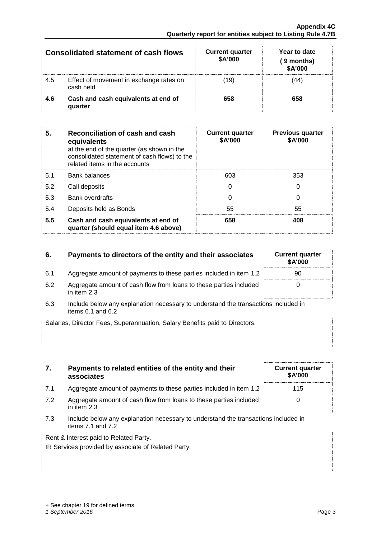| Consolidated statement of cash flows |                                                      | <b>Current quarter</b><br>\$A'000 | Year to date<br>( 9 months)<br>\$A'000 |
|--------------------------------------|------------------------------------------------------|-----------------------------------|----------------------------------------|
| 4.5                                  | Effect of movement in exchange rates on<br>cash held | (19)                              | 44                                     |
| 4.6                                  | Cash and cash equivalents at end of<br>quarter       | 658                               | 658                                    |

| 5.  | Reconciliation of cash and cash<br>equivalents<br>at the end of the quarter (as shown in the<br>consolidated statement of cash flows) to the<br>related items in the accounts | <b>Current quarter</b><br>\$A'000 | <b>Previous quarter</b><br>\$A'000 |
|-----|-------------------------------------------------------------------------------------------------------------------------------------------------------------------------------|-----------------------------------|------------------------------------|
| 5.1 | <b>Bank balances</b>                                                                                                                                                          | 603                               | 353                                |
| 5.2 | Call deposits                                                                                                                                                                 | 0                                 | $\Omega$                           |
| 5.3 | <b>Bank overdrafts</b>                                                                                                                                                        | 0                                 | 0                                  |
| 5.4 | Deposits held as Bonds                                                                                                                                                        | 55                                | 55                                 |
| 5.5 | Cash and cash equivalents at end of<br>quarter (should equal item 4.6 above)                                                                                                  | 658                               | 408                                |

## **6.** Payments to directors of the entity and their associates

- 6.1 Aggregate amount of payments to these parties included in item 1.2
- 6.2 Aggregate amount of cash flow from loans to these parties included in item 2.3

**7. Payments to related entities of the entity and their** 

6.3 Include below any explanation necessary to understand the transactions included in items  $6.1$  and  $6.2$ 

| Salaries, Director Fees, Superannuation, Salary Benefits paid to Directors. |  |
|-----------------------------------------------------------------------------|--|
|                                                                             |  |
|                                                                             |  |

|     | associates                                                                                                  | \$A'000 |
|-----|-------------------------------------------------------------------------------------------------------------|---------|
| 7.1 | Aggregate amount of payments to these parties included in item 1.2                                          | 115     |
| 7.2 | Aggregate amount of cash flow from loans to these parties included<br>in item 2.3                           |         |
| 7.3 | Include below any explanation necessary to understand the transactions included in<br>items $7.1$ and $7.2$ |         |
|     | Rent & Interest paid to Related Party.                                                                      |         |

IR Services provided by associate of Related Party.

| <b>Current quarter</b><br>\$A'000 |  |
|-----------------------------------|--|
| 90                                |  |
| U                                 |  |

**Current quarter**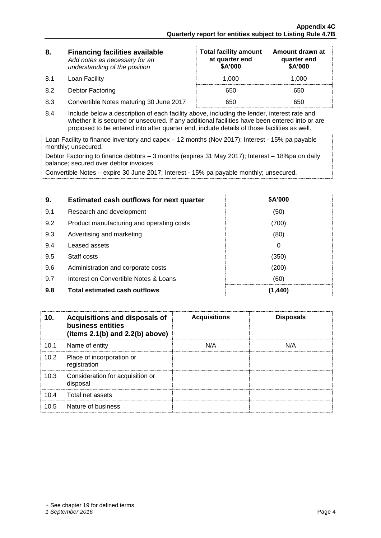**Amount drawn at quarter end \$A'000**

**Total facility amount at quarter end \$A'000** 

| 8. | <b>Financing facilities available</b> |
|----|---------------------------------------|
|    | Add notes as necessary for an         |
|    | understanding of the position         |

8.1 Loan Facility 1,000 1,000 1,000

8.2 Debtor Factoring 650 650 650

- 8.3 Convertible Notes maturing 30 June 2017 650 650 650
- 8.4 Include below a description of each facility above, including the lender, interest rate and whether it is secured or unsecured. If any additional facilities have been entered into or are proposed to be entered into after quarter end, include details of those facilities as well.

Loan Facility to finance inventory and capex – 12 months (Nov 2017); Interest - 15% pa payable monthly; unsecured.

Debtor Factoring to finance debtors – 3 months (expires 31 May 2017); Interest – 18%pa on daily balance; secured over debtor invoices

Convertible Notes – expire 30 June 2017; Interest - 15% pa payable monthly; unsecured.

| 9.  | <b>Estimated cash outflows for next quarter</b> | \$A'000 |
|-----|-------------------------------------------------|---------|
| 9.1 | Research and development                        | (50)    |
| 9.2 | Product manufacturing and operating costs       | (700)   |
| 9.3 | Advertising and marketing                       | (80)    |
| 9.4 | Leased assets                                   | 0       |
| 9.5 | Staff costs                                     | (350)   |
| 9.6 | Administration and corporate costs              | (200)   |
| 9.7 | Interest on Convertible Notes & Loans           | (60)    |
| 9.8 | <b>Total estimated cash outflows</b>            | (1.440) |

| 10.  | Acquisitions and disposals of<br>business entities<br>(items $2.1(b)$ and $2.2(b)$ above) | <b>Acquisitions</b> | <b>Disposals</b> |
|------|-------------------------------------------------------------------------------------------|---------------------|------------------|
| 10.1 | Name of entity                                                                            | N/A                 | N/A              |
| 10.2 | Place of incorporation or<br>registration                                                 |                     |                  |
| 10.3 | Consideration for acquisition or<br>disposal                                              |                     |                  |
| 10.4 | Total net assets                                                                          |                     |                  |
| 10.5 | Nature of business                                                                        |                     |                  |